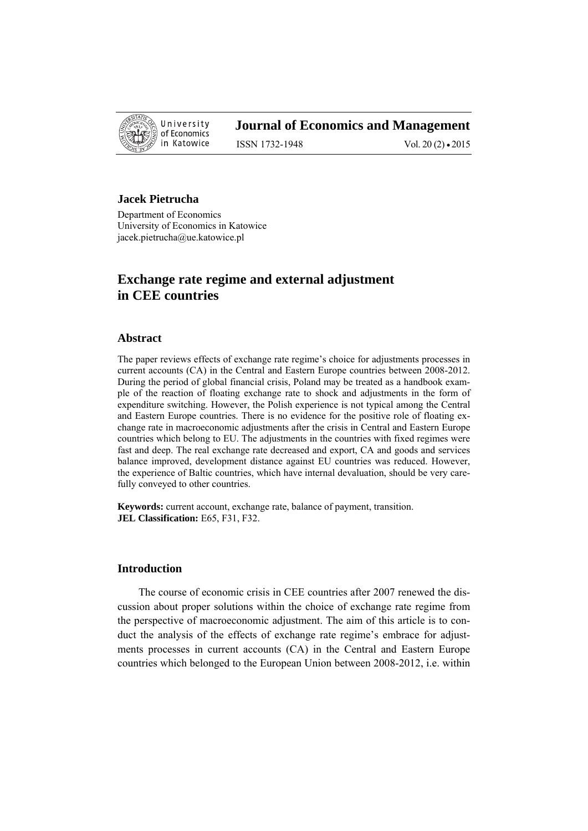

# **Journal of Economics and Management**

ISSN 1732-1948 Vol. 20 (2) • 2015

# **Jacek Pietrucha**

Department of Economics University of Economics in Katowice jacek.pietrucha@ue.katowice.pl

# **Exchange rate regime and external adjustment in CEE countries**

#### **Abstract**

The paper reviews effects of exchange rate regime's choice for adjustments processes in current accounts (CA) in the Central and Eastern Europe countries between 2008-2012. During the period of global financial crisis, Poland may be treated as a handbook example of the reaction of floating exchange rate to shock and adjustments in the form of expenditure switching. However, the Polish experience is not typical among the Central and Eastern Europe countries. There is no evidence for the positive role of floating exchange rate in macroeconomic adjustments after the crisis in Central and Eastern Europe countries which belong to EU. The adjustments in the countries with fixed regimes were fast and deep. The real exchange rate decreased and export, CA and goods and services balance improved, development distance against EU countries was reduced. However, the experience of Baltic countries, which have internal devaluation, should be very carefully conveyed to other countries.

**Keywords:** current account, exchange rate, balance of payment, transition. **JEL Classification:** E65, F31, F32.

# **Introduction**

The course of economic crisis in CEE countries after 2007 renewed the discussion about proper solutions within the choice of exchange rate regime from the perspective of macroeconomic adjustment. The aim of this article is to conduct the analysis of the effects of exchange rate regime's embrace for adjustments processes in current accounts (CA) in the Central and Eastern Europe countries which belonged to the European Union between 2008-2012, i.e. within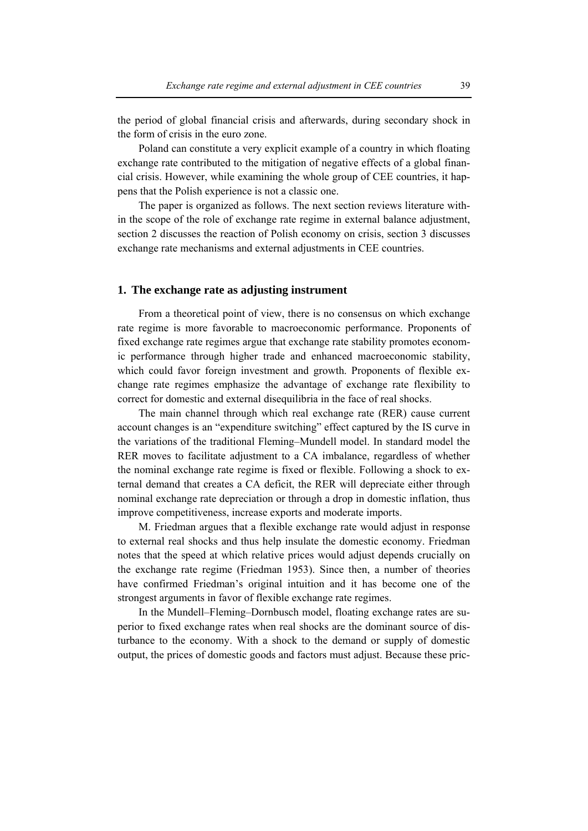the period of global financial crisis and afterwards, during secondary shock in the form of crisis in the euro zone.

Poland can constitute a very explicit example of a country in which floating exchange rate contributed to the mitigation of negative effects of a global financial crisis. However, while examining the whole group of CEE countries, it happens that the Polish experience is not a classic one.

The paper is organized as follows. The next section reviews literature within the scope of the role of exchange rate regime in external balance adjustment, section 2 discusses the reaction of Polish economy on crisis, section 3 discusses exchange rate mechanisms and external adjustments in CEE countries.

#### **1. The exchange rate as adjusting instrument**

From a theoretical point of view, there is no consensus on which exchange rate regime is more favorable to macroeconomic performance. Proponents of fixed exchange rate regimes argue that exchange rate stability promotes economic performance through higher trade and enhanced macroeconomic stability, which could favor foreign investment and growth. Proponents of flexible exchange rate regimes emphasize the advantage of exchange rate flexibility to correct for domestic and external disequilibria in the face of real shocks.

The main channel through which real exchange rate (RER) cause current account changes is an "expenditure switching" effect captured by the IS curve in the variations of the traditional Fleming–Mundell model. In standard model the RER moves to facilitate adjustment to a CA imbalance, regardless of whether the nominal exchange rate regime is fixed or flexible. Following a shock to external demand that creates a CA deficit, the RER will depreciate either through nominal exchange rate depreciation or through a drop in domestic inflation, thus improve competitiveness, increase exports and moderate imports.

M. Friedman argues that a flexible exchange rate would adjust in response to external real shocks and thus help insulate the domestic economy. Friedman notes that the speed at which relative prices would adjust depends crucially on the exchange rate regime (Friedman 1953). Since then, a number of theories have confirmed Friedman's original intuition and it has become one of the strongest arguments in favor of flexible exchange rate regimes.

In the Mundell–Fleming–Dornbusch model, floating exchange rates are superior to fixed exchange rates when real shocks are the dominant source of disturbance to the economy. With a shock to the demand or supply of domestic output, the prices of domestic goods and factors must adjust. Because these pric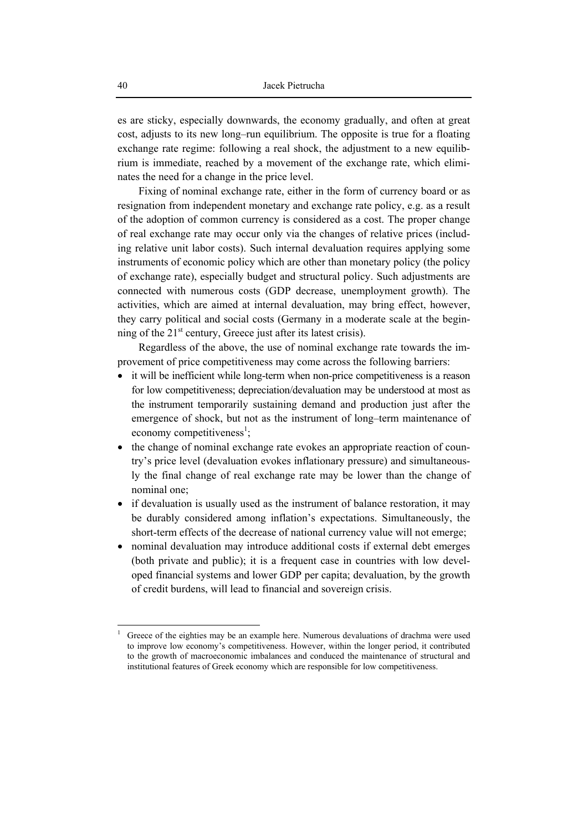es are sticky, especially downwards, the economy gradually, and often at great cost, adjusts to its new long–run equilibrium. The opposite is true for a floating exchange rate regime: following a real shock, the adjustment to a new equilibrium is immediate, reached by a movement of the exchange rate, which eliminates the need for a change in the price level.

Fixing of nominal exchange rate, either in the form of currency board or as resignation from independent monetary and exchange rate policy, e.g. as a result of the adoption of common currency is considered as a cost. The proper change of real exchange rate may occur only via the changes of relative prices (including relative unit labor costs). Such internal devaluation requires applying some instruments of economic policy which are other than monetary policy (the policy of exchange rate), especially budget and structural policy. Such adjustments are connected with numerous costs (GDP decrease, unemployment growth). The activities, which are aimed at internal devaluation, may bring effect, however, they carry political and social costs (Germany in a moderate scale at the beginning of the  $21<sup>st</sup>$  century, Greece just after its latest crisis).

Regardless of the above, the use of nominal exchange rate towards the improvement of price competitiveness may come across the following barriers:

- it will be inefficient while long-term when non-price competitiveness is a reason for low competitiveness; depreciation/devaluation may be understood at most as the instrument temporarily sustaining demand and production just after the emergence of shock, but not as the instrument of long–term maintenance of economy competitiveness<sup>1</sup>;
- the change of nominal exchange rate evokes an appropriate reaction of country's price level (devaluation evokes inflationary pressure) and simultaneously the final change of real exchange rate may be lower than the change of nominal one;
- if devaluation is usually used as the instrument of balance restoration, it may be durably considered among inflation's expectations. Simultaneously, the short-term effects of the decrease of national currency value will not emerge;
- nominal devaluation may introduce additional costs if external debt emerges (both private and public); it is a frequent case in countries with low developed financial systems and lower GDP per capita; devaluation, by the growth of credit burdens, will lead to financial and sovereign crisis.

 $\overline{a}$ 

<sup>1</sup> Greece of the eighties may be an example here. Numerous devaluations of drachma were used to improve low economy's competitiveness. However, within the longer period, it contributed to the growth of macroeconomic imbalances and conduced the maintenance of structural and institutional features of Greek economy which are responsible for low competitiveness.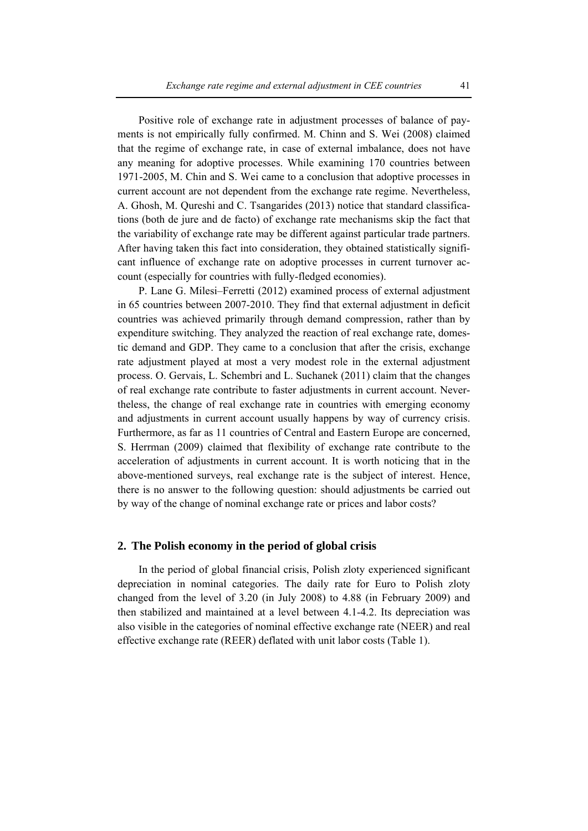Positive role of exchange rate in adjustment processes of balance of payments is not empirically fully confirmed. M. Chinn and S. Wei (2008) claimed that the regime of exchange rate, in case of external imbalance, does not have any meaning for adoptive processes. While examining 170 countries between 1971-2005, M. Chin and S. Wei came to a conclusion that adoptive processes in current account are not dependent from the exchange rate regime. Nevertheless, A. Ghosh, M. Qureshi and C. Tsangarides (2013) notice that standard classifications (both de jure and de facto) of exchange rate mechanisms skip the fact that the variability of exchange rate may be different against particular trade partners. After having taken this fact into consideration, they obtained statistically significant influence of exchange rate on adoptive processes in current turnover account (especially for countries with fully-fledged economies).

P. Lane G. Milesi–Ferretti (2012) examined process of external adjustment in 65 countries between 2007-2010. They find that external adjustment in deficit countries was achieved primarily through demand compression, rather than by expenditure switching. They analyzed the reaction of real exchange rate, domestic demand and GDP. They came to a conclusion that after the crisis, exchange rate adjustment played at most a very modest role in the external adjustment process. O. Gervais, L. Schembri and L. Suchanek (2011) claim that the changes of real exchange rate contribute to faster adjustments in current account. Nevertheless, the change of real exchange rate in countries with emerging economy and adjustments in current account usually happens by way of currency crisis. Furthermore, as far as 11 countries of Central and Eastern Europe are concerned, S. Herrman (2009) claimed that flexibility of exchange rate contribute to the acceleration of adjustments in current account. It is worth noticing that in the above-mentioned surveys, real exchange rate is the subject of interest. Hence, there is no answer to the following question: should adjustments be carried out by way of the change of nominal exchange rate or prices and labor costs?

### **2. The Polish economy in the period of global crisis**

In the period of global financial crisis, Polish zloty experienced significant depreciation in nominal categories. The daily rate for Euro to Polish zloty changed from the level of 3.20 (in July 2008) to 4.88 (in February 2009) and then stabilized and maintained at a level between 4.1-4.2. Its depreciation was also visible in the categories of nominal effective exchange rate (NEER) and real effective exchange rate (REER) deflated with unit labor costs (Table 1).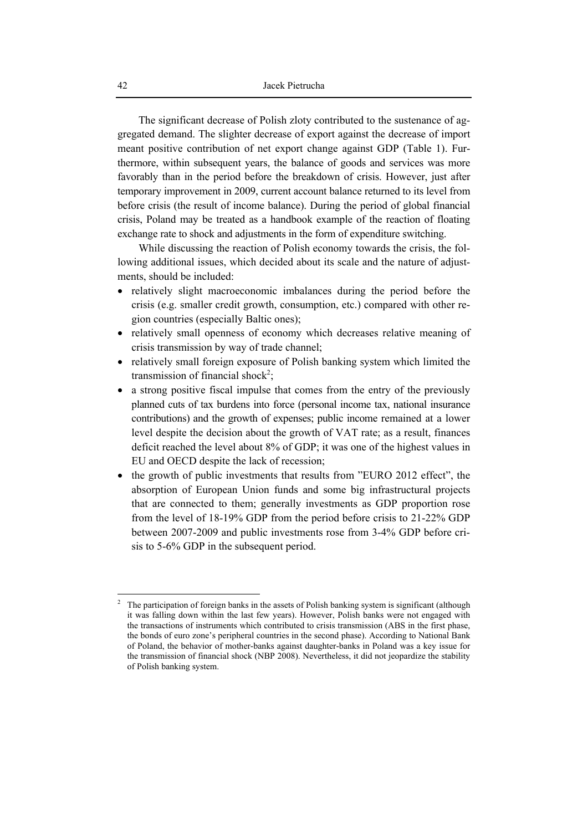The significant decrease of Polish zloty contributed to the sustenance of aggregated demand. The slighter decrease of export against the decrease of import meant positive contribution of net export change against GDP (Table 1). Furthermore, within subsequent years, the balance of goods and services was more favorably than in the period before the breakdown of crisis. However, just after temporary improvement in 2009, current account balance returned to its level from before crisis (the result of income balance). During the period of global financial crisis, Poland may be treated as a handbook example of the reaction of floating exchange rate to shock and adjustments in the form of expenditure switching.

While discussing the reaction of Polish economy towards the crisis, the following additional issues, which decided about its scale and the nature of adjustments, should be included:

- relatively slight macroeconomic imbalances during the period before the crisis (e.g. smaller credit growth, consumption, etc.) compared with other region countries (especially Baltic ones);
- relatively small openness of economy which decreases relative meaning of crisis transmission by way of trade channel;
- relatively small foreign exposure of Polish banking system which limited the transmission of financial shock<sup>2</sup>;
- a strong positive fiscal impulse that comes from the entry of the previously planned cuts of tax burdens into force (personal income tax, national insurance contributions) and the growth of expenses; public income remained at a lower level despite the decision about the growth of VAT rate; as a result, finances deficit reached the level about 8% of GDP; it was one of the highest values in EU and OECD despite the lack of recession;
- the growth of public investments that results from "EURO 2012 effect", the absorption of European Union funds and some big infrastructural projects that are connected to them; generally investments as GDP proportion rose from the level of 18-19% GDP from the period before crisis to 21-22% GDP between 2007-2009 and public investments rose from 3-4% GDP before crisis to 5-6% GDP in the subsequent period.

 $\overline{a}$ 

<sup>2</sup> The participation of foreign banks in the assets of Polish banking system is significant (although it was falling down within the last few years). However, Polish banks were not engaged with the transactions of instruments which contributed to crisis transmission (ABS in the first phase, the bonds of euro zone's peripheral countries in the second phase). According to National Bank of Poland, the behavior of mother-banks against daughter-banks in Poland was a key issue for the transmission of financial shock (NBP 2008). Nevertheless, it did not jeopardize the stability of Polish banking system.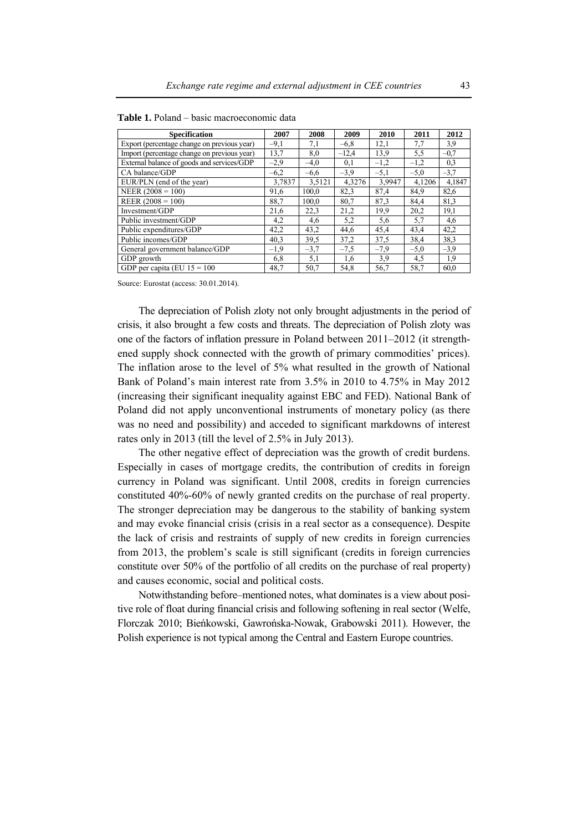| <b>Specification</b>                        | 2007   | 2008   | 2009    | 2010   | 2011   | 2012   |
|---------------------------------------------|--------|--------|---------|--------|--------|--------|
| Export (percentage change on previous year) | $-9,1$ | 7,1    | $-6,8$  | 12,1   | 7,7    | 3,9    |
| Import (percentage change on previous year) | 13,7   | 8,0    | $-12,4$ | 13,9   | 5,5    | $-0,7$ |
| External balance of goods and services/GDP  | $-2,9$ | $-4,0$ | 0,1     | $-1,2$ | $-1,2$ | 0,3    |
| CA balance/GDP                              | $-6,2$ | $-6,6$ | $-3,9$  | $-5,1$ | $-5,0$ | $-3,7$ |
| EUR/PLN (end of the year)                   | 3,7837 | 3,5121 | 4,3276  | 3.9947 | 4,1206 | 4,1847 |
| NEER $(2008 = 100)$                         | 91,6   | 100,0  | 82,3    | 87,4   | 84,9   | 82,6   |
| REER $(2008 = 100)$                         | 88,7   | 100,0  | 80,7    | 87,3   | 84,4   | 81.3   |
| Investment/GDP                              | 21,6   | 22,3   | 21,2    | 19.9   | 20,2   | 19,1   |
| Public investment/GDP                       | 4,2    | 4,6    | 5,2     | 5,6    | 5,7    | 4,6    |
| Public expenditures/GDP                     | 42,2   | 43,2   | 44,6    | 45,4   | 43,4   | 42,2   |
| Public incomes/GDP                          | 40,3   | 39,5   | 37,2    | 37,5   | 38,4   | 38,3   |
| General government balance/GDP              | $-1,9$ | $-3,7$ | $-7,5$  | $-7.9$ | $-5,0$ | $-3,9$ |
| GDP growth                                  | 6,8    | 5,1    | 1,6     | 3.9    | 4,5    | 1.9    |
| GDP per capita (EU $15 = 100$               | 48,7   | 50,7   | 54,8    | 56,7   | 58,7   | 60,0   |

| <b>Table 1.</b> Poland – basic macroeconomic data |  |
|---------------------------------------------------|--|
|---------------------------------------------------|--|

Source: Eurostat (access: 30.01.2014).

The depreciation of Polish zloty not only brought adjustments in the period of crisis, it also brought a few costs and threats. The depreciation of Polish zloty was one of the factors of inflation pressure in Poland between 2011–2012 (it strengthened supply shock connected with the growth of primary commodities' prices). The inflation arose to the level of 5% what resulted in the growth of National Bank of Poland's main interest rate from 3.5% in 2010 to 4.75% in May 2012 (increasing their significant inequality against EBC and FED). National Bank of Poland did not apply unconventional instruments of monetary policy (as there was no need and possibility) and acceded to significant markdowns of interest rates only in 2013 (till the level of 2.5% in July 2013).

The other negative effect of depreciation was the growth of credit burdens. Especially in cases of mortgage credits, the contribution of credits in foreign currency in Poland was significant. Until 2008, credits in foreign currencies constituted 40%-60% of newly granted credits on the purchase of real property. The stronger depreciation may be dangerous to the stability of banking system and may evoke financial crisis (crisis in a real sector as a consequence). Despite the lack of crisis and restraints of supply of new credits in foreign currencies from 2013, the problem's scale is still significant (credits in foreign currencies constitute over 50% of the portfolio of all credits on the purchase of real property) and causes economic, social and political costs.

Notwithstanding before–mentioned notes, what dominates is a view about positive role of float during financial crisis and following softening in real sector (Welfe, Florczak 2010; Bieńkowski, Gawrońska-Nowak, Grabowski 2011). However, the Polish experience is not typical among the Central and Eastern Europe countries.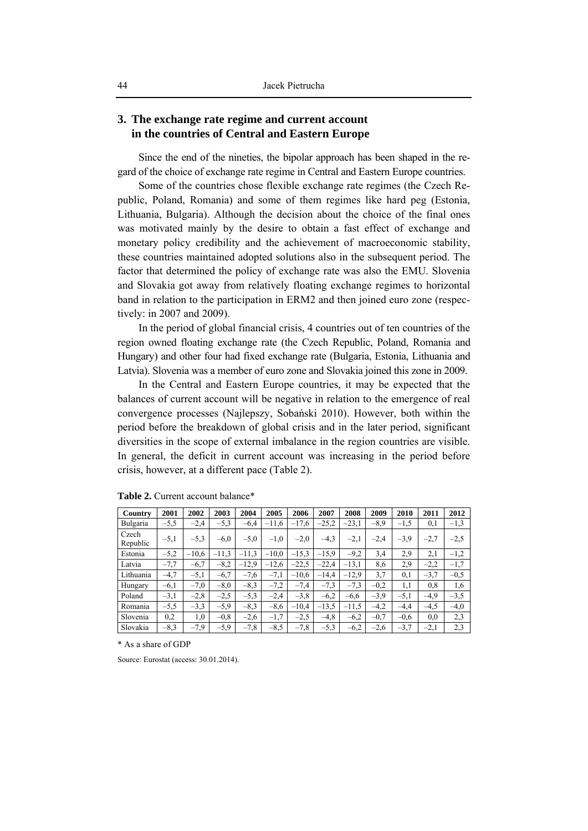# **3. The exchange rate regime and current account in the countries of Central and Eastern Europe**

Since the end of the nineties, the bipolar approach has been shaped in the regard of the choice of exchange rate regime in Central and Eastern Europe countries.

Some of the countries chose flexible exchange rate regimes (the Czech Republic, Poland, Romania) and some of them regimes like hard peg (Estonia, Lithuania, Bulgaria). Although the decision about the choice of the final ones was motivated mainly by the desire to obtain a fast effect of exchange and monetary policy credibility and the achievement of macroeconomic stability, these countries maintained adopted solutions also in the subsequent period. The factor that determined the policy of exchange rate was also the EMU. Slovenia and Slovakia got away from relatively floating exchange regimes to horizontal band in relation to the participation in ERM2 and then joined euro zone (respectively: in 2007 and 2009).

In the period of global financial crisis, 4 countries out of ten countries of the region owned floating exchange rate (the Czech Republic, Poland, Romania and Hungary) and other four had fixed exchange rate (Bulgaria, Estonia, Lithuania and Latvia). Slovenia was a member of euro zone and Slovakia joined this zone in 2009.

In the Central and Eastern Europe countries, it may be expected that the balances of current account will be negative in relation to the emergence of real convergence processes (Najlepszy, Sobański 2010). However, both within the period before the breakdown of global crisis and in the later period, significant diversities in the scope of external imbalance in the region countries are visible. In general, the deficit in current account was increasing in the period before crisis, however, at a different pace (Table 2).

| Country           | 2001   | 2002    | 2003    | 2004    | 2005    | 2006    | 2007    | 2008    | 2009   | 2010   | 2011   | 2012   |
|-------------------|--------|---------|---------|---------|---------|---------|---------|---------|--------|--------|--------|--------|
| Bulgaria          | $-5,5$ | $-2,4$  | $-5,3$  | $-6,4$  | $-11,6$ | $-17,6$ | $-25.2$ | $-23,1$ | $-8,9$ | $-1.5$ | 0,1    | $-1,3$ |
| Czech<br>Republic | $-5,1$ | $-5.3$  | $-6.0$  | $-5,0$  | $-1,0$  | $-2,0$  | $-4,3$  | $-2,1$  | $-2.4$ | $-3.9$ | $-2,7$ | $-2,5$ |
| Estonia           | $-5,2$ | $-10,6$ | $-11,3$ | $-11.3$ | $-10,0$ | $-15,3$ | $-15.9$ | $-9,2$  | 3,4    | 2.9    | 2,1    | $-1,2$ |
| Latvia            | $-7,7$ | $-6,7$  | $-8,2$  | $-12.9$ | $-12,6$ | $-22.5$ | $-22.4$ | $-13,1$ | 8,6    | 2.9    | $-2,2$ | $-1,7$ |
| Lithuania         | $-4,7$ | $-5,1$  | $-6,7$  | $-7,6$  | $-7,1$  | $-10,6$ | $-14,4$ | $-12.9$ | 3,7    | 0,1    | $-3,7$ | $-0,5$ |
| Hungary           | $-6,1$ | $-7,0$  | $-8,0$  | $-8,3$  | $-7,2$  | $-7,4$  | $-7.3$  | $-7,3$  | $-0.2$ | 1,1    | 0,8    | 1,6    |
| Poland            | $-3,1$ | $-2,8$  | $-2,5$  | $-5.3$  | $-2,4$  | $-3,8$  | $-6.2$  | $-6,6$  | $-3.9$ | $-5,1$ | $-4,9$ | $-3,5$ |
| Romania           | $-5.5$ | $-3.3$  | $-5,9$  | $-8.3$  | $-8,6$  | $-10,4$ | $-13.5$ | $-11,5$ | $-4,2$ | $-4,4$ | $-4,5$ | $-4,0$ |
| Slovenia          | 0,2    | 1,0     | $-0.8$  | $-2,6$  | $-1,7$  | $-2.5$  | $-4,8$  | $-6,2$  | $-0,7$ | $-0.6$ | 0,0    | 2,3    |
| Slovakia          | $-8.3$ | $-7.9$  | $-5.9$  | $-7,8$  | $-8.5$  | $-7,8$  | $-5.3$  | $-6,2$  | $-2,6$ | $-3.7$ | $-2,1$ | 2,3    |

**Table 2.** Current account balance\*

\* As a share of GDP

Source: Eurostat (access: 30.01.2014).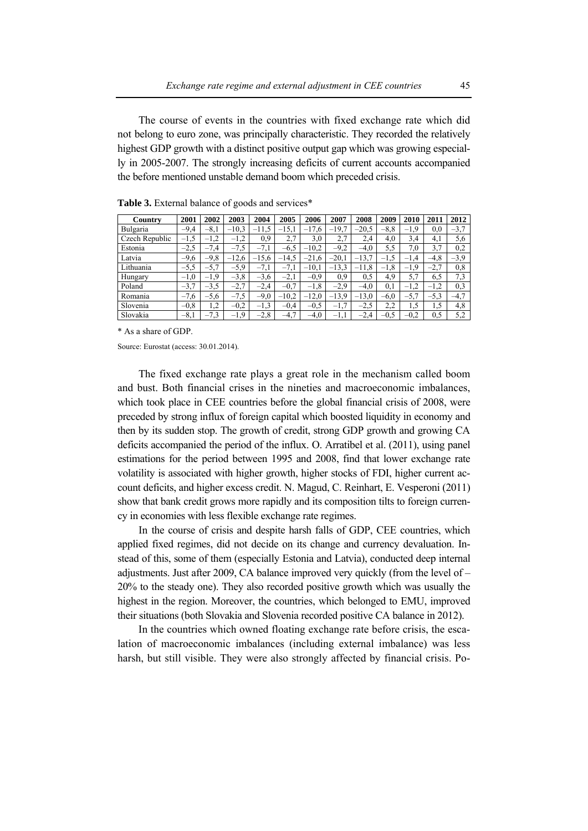The course of events in the countries with fixed exchange rate which did not belong to euro zone, was principally characteristic. They recorded the relatively highest GDP growth with a distinct positive output gap which was growing especially in 2005-2007. The strongly increasing deficits of current accounts accompanied the before mentioned unstable demand boom which preceded crisis.

| Country        | 2001   | 2002   | 2003    | 2004    | 2005    | 2006    | 2007    | 2008    | 2009   | 2010   | 2011     | 2012   |
|----------------|--------|--------|---------|---------|---------|---------|---------|---------|--------|--------|----------|--------|
| Bulgaria       | $-9,4$ | $-8,1$ | $-10.3$ | $-11,5$ | $-15,1$ | $-17.6$ | $-19,7$ | $-20.5$ | $-8,8$ | $-1,9$ | $_{0,0}$ | $-3,7$ |
| Czech Republic |        | $-1,2$ | $-1,2$  | 0,9     | 2,7     | 3,0     | 2,7     | 2.4     | 4,0    | 3,4    | 4,1      | 5,6    |
| Estonia        | $-2.5$ | $-7,4$ | $-7,5$  | $-7,1$  | $-6.5$  | $-10,2$ | $-9,2$  | $-4,0$  | 5,5    | 7.0    | 3,7      | 0,2    |
| Latvia         | $-9,6$ | $-9,8$ | $-12,6$ | $-15.6$ | 14,5    | $-21,6$ | $-20.1$ | $-13.7$ | $-1.5$ | $-1,4$ | $-4,8$   | $-3,9$ |
| Lithuania      | $-5,5$ | $-5,7$ | $-5,9$  | $-7,1$  | $-7,1$  | $-10,1$ | $-13,3$ | $-11,8$ | $-1,8$ | $-1,9$ | $-2,7$   | 0,8    |
| Hungary        | $-1,0$ | $-1,9$ | $-3,8$  | $-3,6$  | $-2,1$  | $-0,9$  | 0.9     | 0.5     | 4.9    | 5.7    | 6.5      | 7,3    |
| Poland         | $-3.7$ | $-3.5$ | $-2,7$  | $-2,4$  | $-0,7$  | $-1,8$  | $-2.9$  | $-4,0$  | 0,1    | $-1,2$ | $-1,2$   | 0,3    |
| Romania        | $-7,6$ | $-5,6$ | $-7,5$  | $-9,0$  | $-10,2$ | $-12.0$ | $-13.9$ | $-13.0$ | $-6,0$ | $-5,7$ | $-5,3$   | $-4,7$ |
| Slovenia       | $-0,8$ | 1,2    | $-0,2$  | $-1,3$  | $-0.4$  | $-0,5$  | $-1, r$ | $-2.5$  | 2,2    | 1,5    | 1,5      | 4,8    |
| Slovakia       | $-8,1$ | $-7,3$ | $-1,9$  | $-2,8$  | $-4,7$  | $-4,0$  | $-1,1$  | $-2.4$  | $-0,5$ | $-0.2$ | 0,5      | 5,2    |

**Table 3.** External balance of goods and services\*

\* As a share of GDP.

Source: Eurostat (access: 30.01.2014).

The fixed exchange rate plays a great role in the mechanism called boom and bust. Both financial crises in the nineties and macroeconomic imbalances, which took place in CEE countries before the global financial crisis of 2008, were preceded by strong influx of foreign capital which boosted liquidity in economy and then by its sudden stop. The growth of credit, strong GDP growth and growing CA deficits accompanied the period of the influx. O. Arratibel et al. (2011), using panel estimations for the period between 1995 and 2008, find that lower exchange rate volatility is associated with higher growth, higher stocks of FDI, higher current account deficits, and higher excess credit. N. Magud, C. Reinhart, E. Vesperoni (2011) show that bank credit grows more rapidly and its composition tilts to foreign currency in economies with less flexible exchange rate regimes.

In the course of crisis and despite harsh falls of GDP, CEE countries, which applied fixed regimes, did not decide on its change and currency devaluation. Instead of this, some of them (especially Estonia and Latvia), conducted deep internal adjustments. Just after 2009, CA balance improved very quickly (from the level of – 20% to the steady one). They also recorded positive growth which was usually the highest in the region. Moreover, the countries, which belonged to EMU, improved their situations (both Slovakia and Slovenia recorded positive CA balance in 2012).

In the countries which owned floating exchange rate before crisis, the escalation of macroeconomic imbalances (including external imbalance) was less harsh, but still visible. They were also strongly affected by financial crisis. Po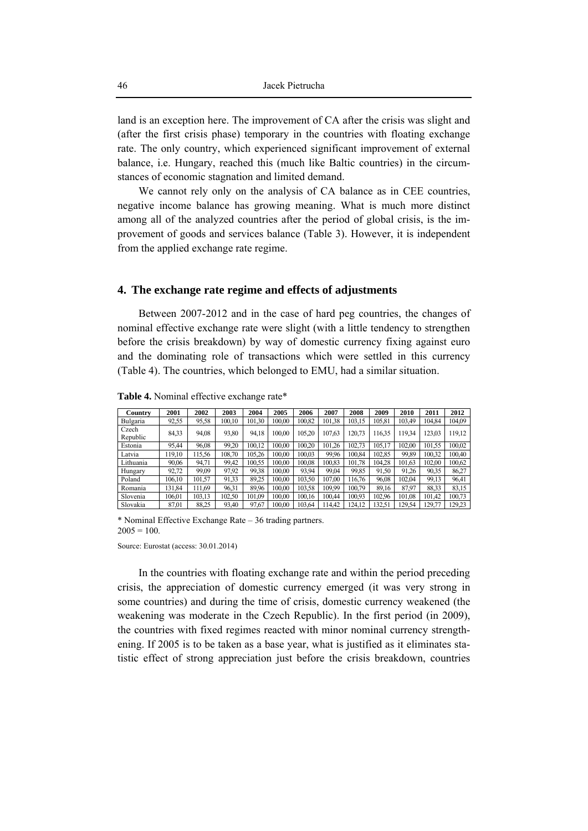land is an exception here. The improvement of CA after the crisis was slight and (after the first crisis phase) temporary in the countries with floating exchange rate. The only country, which experienced significant improvement of external balance, i.e. Hungary, reached this (much like Baltic countries) in the circumstances of economic stagnation and limited demand.

We cannot rely only on the analysis of CA balance as in CEE countries, negative income balance has growing meaning. What is much more distinct among all of the analyzed countries after the period of global crisis, is the improvement of goods and services balance (Table 3). However, it is independent from the applied exchange rate regime.

#### **4. The exchange rate regime and effects of adjustments**

Between 2007-2012 and in the case of hard peg countries, the changes of nominal effective exchange rate were slight (with a little tendency to strengthen before the crisis breakdown) by way of domestic currency fixing against euro and the dominating role of transactions which were settled in this currency (Table 4). The countries, which belonged to EMU, had a similar situation.

| Country           | 2001   | 2002   | 2003   | 2004   | 2005   | 2006   | 2007   | 2008   | 2009   | 2010   | 2011   | 2012   |
|-------------------|--------|--------|--------|--------|--------|--------|--------|--------|--------|--------|--------|--------|
| Bulgaria          | 92,55  | 95,58  | 100.10 | 101,30 | 100.00 | 100.82 | 101,38 | 103,15 | 105.81 | 103.49 | 104,84 | 104.09 |
| Czech<br>Republic | 84.33  | 94.08  | 93,80  | 94,18  | 100.00 | 105.20 | 107,63 | 120.73 | 116.35 | 119.34 | 123.03 | 119,12 |
| Estonia           | 95,44  | 96.08  | 99.20  | 100.12 | 100.00 | 100.20 | 101.26 | 102.73 | 105.17 | 102.00 | 101.55 | 100.02 |
| Latvia            | 119,10 | 115.56 | 108,70 | 105.26 | 100.00 | 100,03 | 99.96  | 100.84 | 102.85 | 99,89  | 100.32 | 100.40 |
| Lithuania         | 90,06  | 94,71  | 99,42  | 100.55 | 100.00 | 100,08 | 100,83 | 101,78 | 104.28 | 101,63 | 102,00 | 100,62 |
| Hungary           | 92,72  | 99,09  | 97.92  | 99.38  | 100.00 | 93.94  | 99.04  | 99,85  | 91,50  | 91.26  | 90.35  | 86,27  |
| Poland            | 106.10 | 101.57 | 91.33  | 89.25  | 100.00 | 103.50 | 107.00 | 116,76 | 96,08  | 102.04 | 99,13  | 96.41  |
| Romania           | 131,84 | 111.69 | 96,31  | 89.96  | 100.00 | 103,58 | 109.99 | 100.79 | 89,16  | 87.97  | 88.33  | 83.15  |
| Slovenia          | 106,01 | 103,13 | 102.50 | 101.09 | 100.00 | 100.16 | 100.44 | 100.93 | 102.96 | 101,08 | 101.42 | 100,73 |
| Slovakia          | 87.01  | 88.25  | 93.40  | 97.67  | 100.00 | 103.64 | 14.42  | 124.12 | 132.51 | 129.54 | 129.77 | 29.23  |

**Table 4.** Nominal effective exchange rate\*

\* Nominal Effective Exchange Rate – 36 trading partners.  $2005 = 100$ 

Source: Eurostat (access: 30.01.2014)

In the countries with floating exchange rate and within the period preceding crisis, the appreciation of domestic currency emerged (it was very strong in some countries) and during the time of crisis, domestic currency weakened (the weakening was moderate in the Czech Republic). In the first period (in 2009), the countries with fixed regimes reacted with minor nominal currency strengthening. If 2005 is to be taken as a base year, what is justified as it eliminates statistic effect of strong appreciation just before the crisis breakdown, countries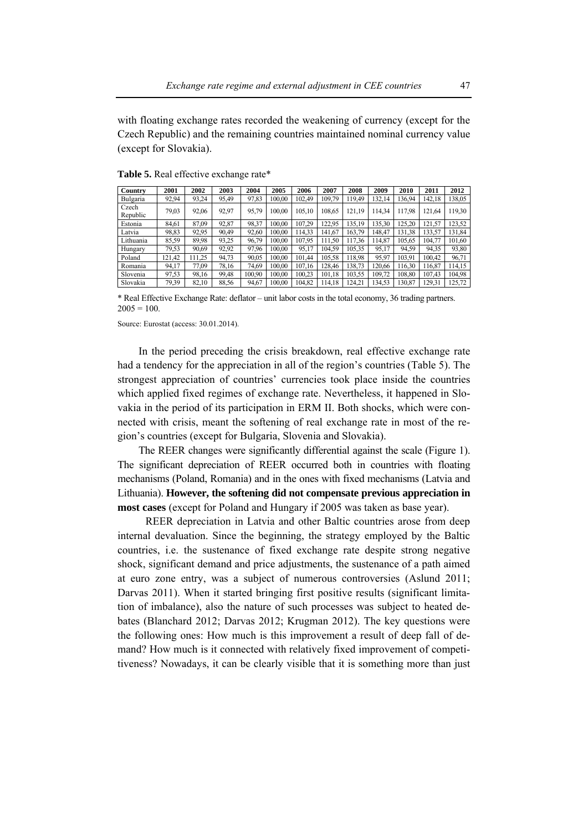with floating exchange rates recorded the weakening of currency (except for the Czech Republic) and the remaining countries maintained nominal currency value (except for Slovakia).

| Country           | 2001   | 2002  | 2003  | 2004   | 2005   | 2006   | 2007   | 2008   | 2009   | 2010   | 2011   | 2012   |
|-------------------|--------|-------|-------|--------|--------|--------|--------|--------|--------|--------|--------|--------|
| Bulgaria          | 92.94  | 93,24 | 95,49 | 97,83  | 100.00 | 102.49 | 109,79 | 119.49 | 132.14 | 36,94  | 142.18 | 138,05 |
| Czech<br>Republic | 79,03  | 92,06 | 92,97 | 95,79  | 100.00 | 105,10 | 108,65 | 121,19 | 114.34 | 117,98 | 121,64 | 119,30 |
| Estonia           | 84.61  | 87,09 | 92,87 | 98.37  | 100.00 | 107.29 | 122.95 | 135.19 | 135.30 | 125,20 | 121,57 | 123,52 |
| Latvia            | 98,83  | 92,95 | 90.49 | 92,60  | 100.00 | 114,33 | 141,67 | 163.79 | 148.47 | 31,38  | 133,57 | 131,84 |
| Lithuania         | 85,59  | 89.98 | 93,25 | 96.79  | 100.00 | 107.95 | 11,50  | 117.36 | 14.87  | 105,65 | 104.77 | 101,60 |
| Hungary           | 79.53  | 90,69 | 92,92 | 97,96  | 100.00 | 95,17  | 104,59 | 105,35 | 95,17  | 94.59  | 94.35  | 93,80  |
| Poland            | 121,42 | 11,25 | 94,73 | 90,05  | 100.00 | 101.44 | 105,58 | 118.98 | 95,97  | 103.91 | 100.42 | 96,71  |
| Romania           | 94,17  | 77,09 | 78,16 | 74.69  | 100.00 | 107.16 | 128,46 | 138.73 | 120.66 | 16,30  | 116,87 | 114,15 |
| Slovenia          | 97,53  | 98,16 | 99,48 | 100.90 | 100.00 | 100.23 | 101.18 | 103,55 | 109.72 | 108,80 | 107,43 | 104,98 |
| Slovakia          | 79.39  | 82,10 | 88,56 | 94,67  | 100,00 | 104,82 | 14.18  | 124.21 | 134,53 | 30,87  | 129,31 | 125,72 |

**Table 5.** Real effective exchange rate\*

\* Real Effective Exchange Rate: deflator – unit labor costs in the total economy, 36 trading partners.  $2005 = 100$ 

Source: Eurostat (access: 30.01.2014).

In the period preceding the crisis breakdown, real effective exchange rate had a tendency for the appreciation in all of the region's countries (Table 5). The strongest appreciation of countries' currencies took place inside the countries which applied fixed regimes of exchange rate. Nevertheless, it happened in Slovakia in the period of its participation in ERM II. Both shocks, which were connected with crisis, meant the softening of real exchange rate in most of the region's countries (except for Bulgaria, Slovenia and Slovakia).

The REER changes were significantly differential against the scale (Figure 1). The significant depreciation of REER occurred both in countries with floating mechanisms (Poland, Romania) and in the ones with fixed mechanisms (Latvia and Lithuania). **However, the softening did not compensate previous appreciation in most cases** (except for Poland and Hungary if 2005 was taken as base year).

REER depreciation in Latvia and other Baltic countries arose from deep internal devaluation. Since the beginning, the strategy employed by the Baltic countries, i.e. the sustenance of fixed exchange rate despite strong negative shock, significant demand and price adjustments, the sustenance of a path aimed at euro zone entry, was a subject of numerous controversies (Aslund 2011; Darvas 2011). When it started bringing first positive results (significant limitation of imbalance), also the nature of such processes was subject to heated debates (Blanchard 2012; Darvas 2012; Krugman 2012). The key questions were the following ones: How much is this improvement a result of deep fall of demand? How much is it connected with relatively fixed improvement of competitiveness? Nowadays, it can be clearly visible that it is something more than just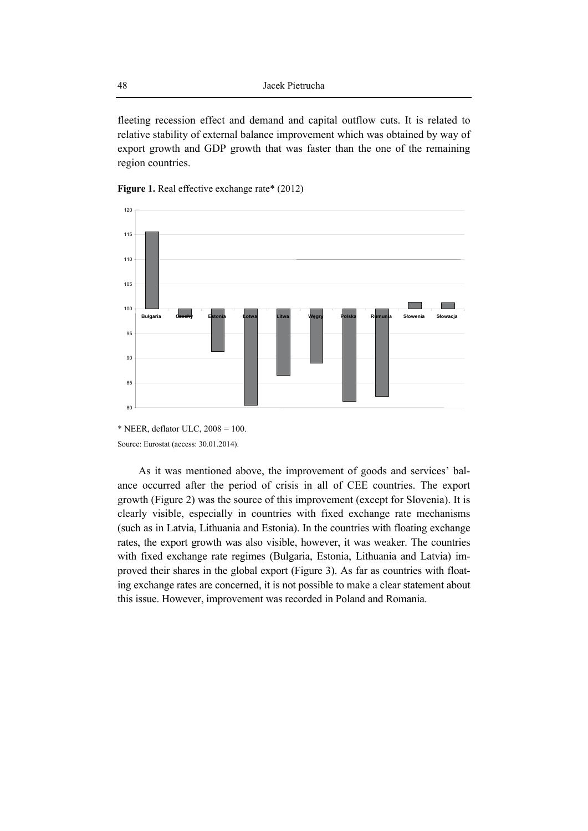fleeting recession effect and demand and capital outflow cuts. It is related to relative stability of external balance improvement which was obtained by way of export growth and GDP growth that was faster than the one of the remaining region countries.





Source: Eurostat (access: 30.01.2014).

As it was mentioned above, the improvement of goods and services' balance occurred after the period of crisis in all of CEE countries. The export growth (Figure 2) was the source of this improvement (except for Slovenia). It is clearly visible, especially in countries with fixed exchange rate mechanisms (such as in Latvia, Lithuania and Estonia). In the countries with floating exchange rates, the export growth was also visible, however, it was weaker. The countries with fixed exchange rate regimes (Bulgaria, Estonia, Lithuania and Latvia) improved their shares in the global export (Figure 3). As far as countries with floating exchange rates are concerned, it is not possible to make a clear statement about this issue. However, improvement was recorded in Poland and Romania.

 $*$  NEER, deflator ULC,  $2008 = 100$ .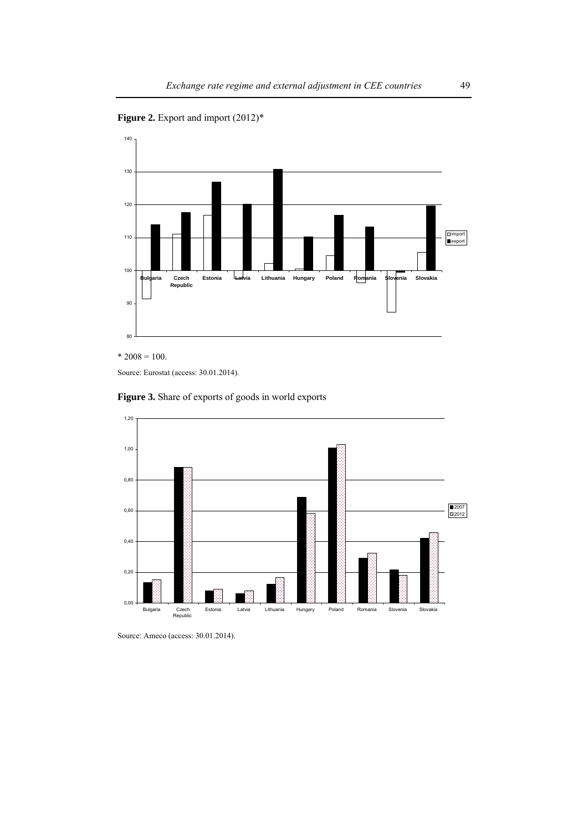Figure 2. Export and import  $(2012)^*$ 



 $*$  2008 = 100.

Source: Eurostat (access: 30.01.2014).





Source: Ameco (access: 30.01.2014).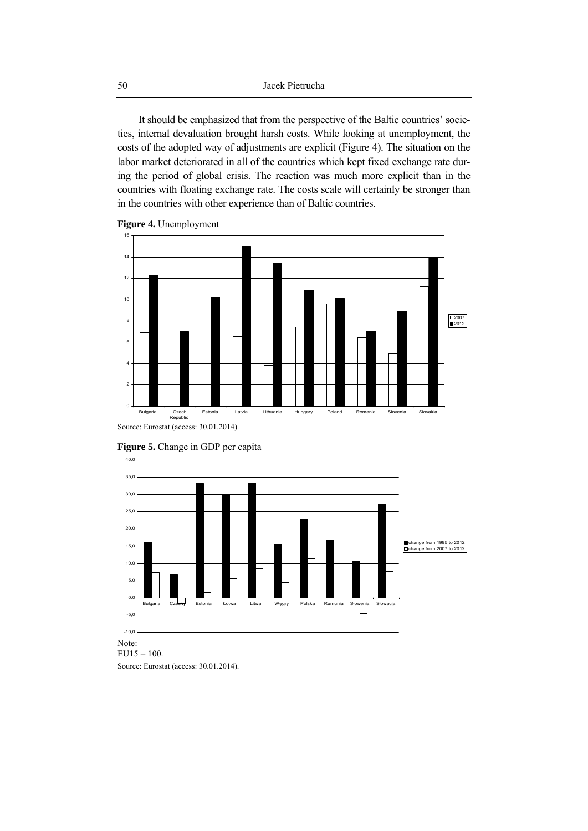It should be emphasized that from the perspective of the Baltic countries' societies, internal devaluation brought harsh costs. While looking at unemployment, the costs of the adopted way of adjustments are explicit (Figure 4). The situation on the labor market deteriorated in all of the countries which kept fixed exchange rate during the period of global crisis. The reaction was much more explicit than in the countries with floating exchange rate. The costs scale will certainly be stronger than in the countries with other experience than of Baltic countries.







**Figure 5.** Change in GDP per capita

 $EU15 = 100.$ Source: Eurostat (access: 30.01.2014).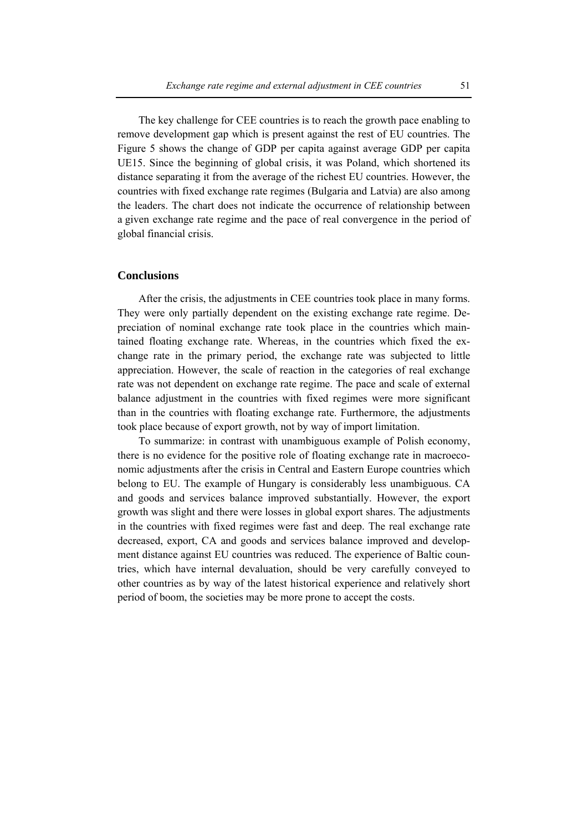The key challenge for CEE countries is to reach the growth pace enabling to remove development gap which is present against the rest of EU countries. The Figure 5 shows the change of GDP per capita against average GDP per capita UE15. Since the beginning of global crisis, it was Poland, which shortened its distance separating it from the average of the richest EU countries. However, the countries with fixed exchange rate regimes (Bulgaria and Latvia) are also among the leaders. The chart does not indicate the occurrence of relationship between a given exchange rate regime and the pace of real convergence in the period of global financial crisis.

### **Conclusions**

After the crisis, the adjustments in CEE countries took place in many forms. They were only partially dependent on the existing exchange rate regime. Depreciation of nominal exchange rate took place in the countries which maintained floating exchange rate. Whereas, in the countries which fixed the exchange rate in the primary period, the exchange rate was subjected to little appreciation. However, the scale of reaction in the categories of real exchange rate was not dependent on exchange rate regime. The pace and scale of external balance adjustment in the countries with fixed regimes were more significant than in the countries with floating exchange rate. Furthermore, the adjustments took place because of export growth, not by way of import limitation.

To summarize: in contrast with unambiguous example of Polish economy, there is no evidence for the positive role of floating exchange rate in macroeconomic adjustments after the crisis in Central and Eastern Europe countries which belong to EU. The example of Hungary is considerably less unambiguous. CA and goods and services balance improved substantially. However, the export growth was slight and there were losses in global export shares. The adjustments in the countries with fixed regimes were fast and deep. The real exchange rate decreased, export, CA and goods and services balance improved and development distance against EU countries was reduced. The experience of Baltic countries, which have internal devaluation, should be very carefully conveyed to other countries as by way of the latest historical experience and relatively short period of boom, the societies may be more prone to accept the costs.